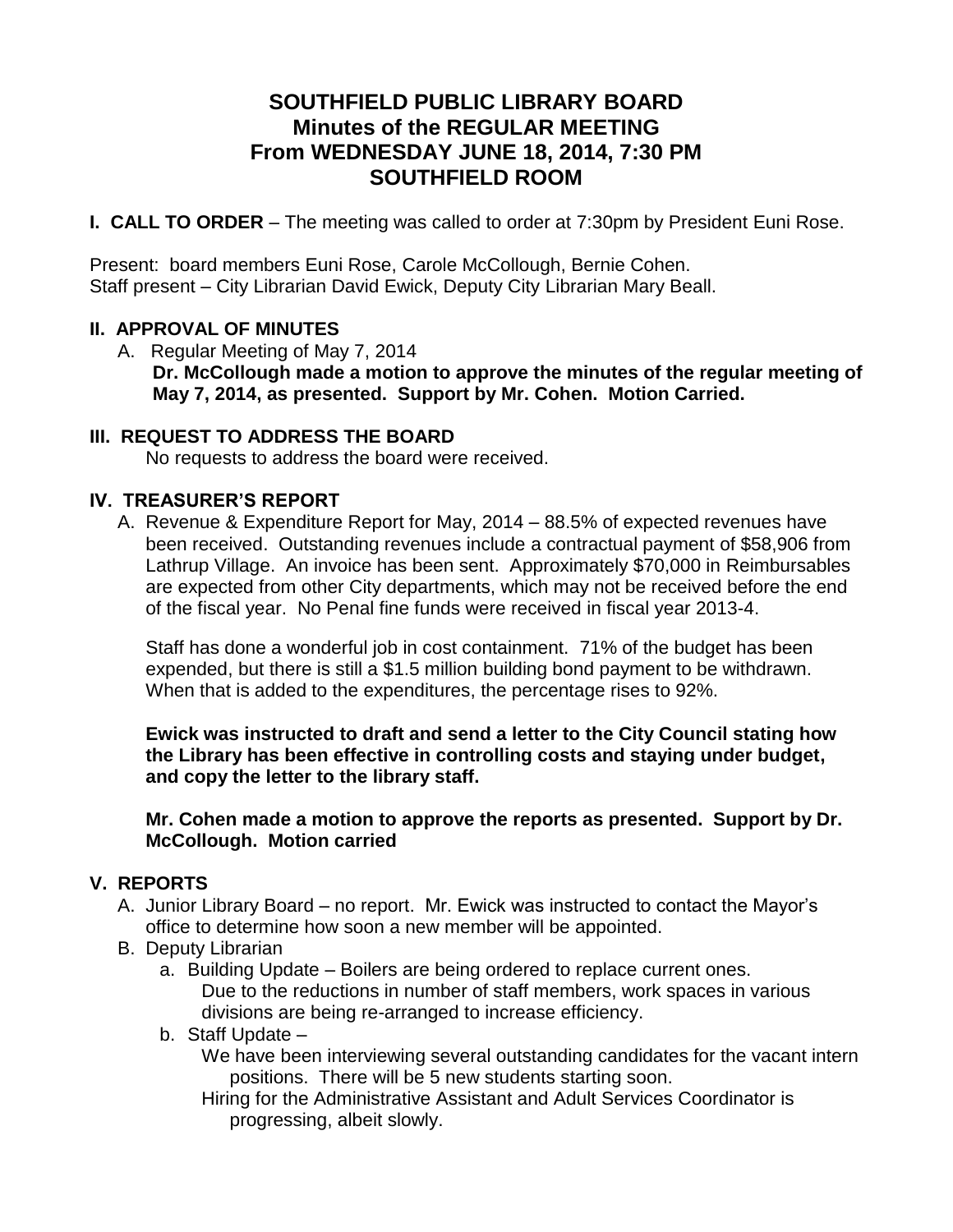# **SOUTHFIELD PUBLIC LIBRARY BOARD Minutes of the REGULAR MEETING From WEDNESDAY JUNE 18, 2014, 7:30 PM SOUTHFIELD ROOM**

**I. CALL TO ORDER** – The meeting was called to order at 7:30pm by President Euni Rose.

Present: board members Euni Rose, Carole McCollough, Bernie Cohen. Staff present – City Librarian David Ewick, Deputy City Librarian Mary Beall.

### **II. APPROVAL OF MINUTES**

A. Regular Meeting of May 7, 2014 **Dr. McCollough made a motion to approve the minutes of the regular meeting of May 7, 2014, as presented. Support by Mr. Cohen. Motion Carried.**

#### **III. REQUEST TO ADDRESS THE BOARD**

No requests to address the board were received.

### **IV. TREASURER'S REPORT**

A. Revenue & Expenditure Report for May, 2014 – 88.5% of expected revenues have been received. Outstanding revenues include a contractual payment of \$58,906 from Lathrup Village. An invoice has been sent. Approximately \$70,000 in Reimbursables are expected from other City departments, which may not be received before the end of the fiscal year. No Penal fine funds were received in fiscal year 2013-4.

Staff has done a wonderful job in cost containment. 71% of the budget has been expended, but there is still a \$1.5 million building bond payment to be withdrawn. When that is added to the expenditures, the percentage rises to 92%.

**Ewick was instructed to draft and send a letter to the City Council stating how the Library has been effective in controlling costs and staying under budget, and copy the letter to the library staff.** 

**Mr. Cohen made a motion to approve the reports as presented. Support by Dr. McCollough. Motion carried**

### **V. REPORTS**

- A. Junior Library Board no report. Mr. Ewick was instructed to contact the Mayor's office to determine how soon a new member will be appointed.
- B. Deputy Librarian
	- a. Building Update Boilers are being ordered to replace current ones. Due to the reductions in number of staff members, work spaces in various divisions are being re-arranged to increase efficiency.
	- b. Staff Update –

We have been interviewing several outstanding candidates for the vacant intern positions. There will be 5 new students starting soon.

Hiring for the Administrative Assistant and Adult Services Coordinator is progressing, albeit slowly.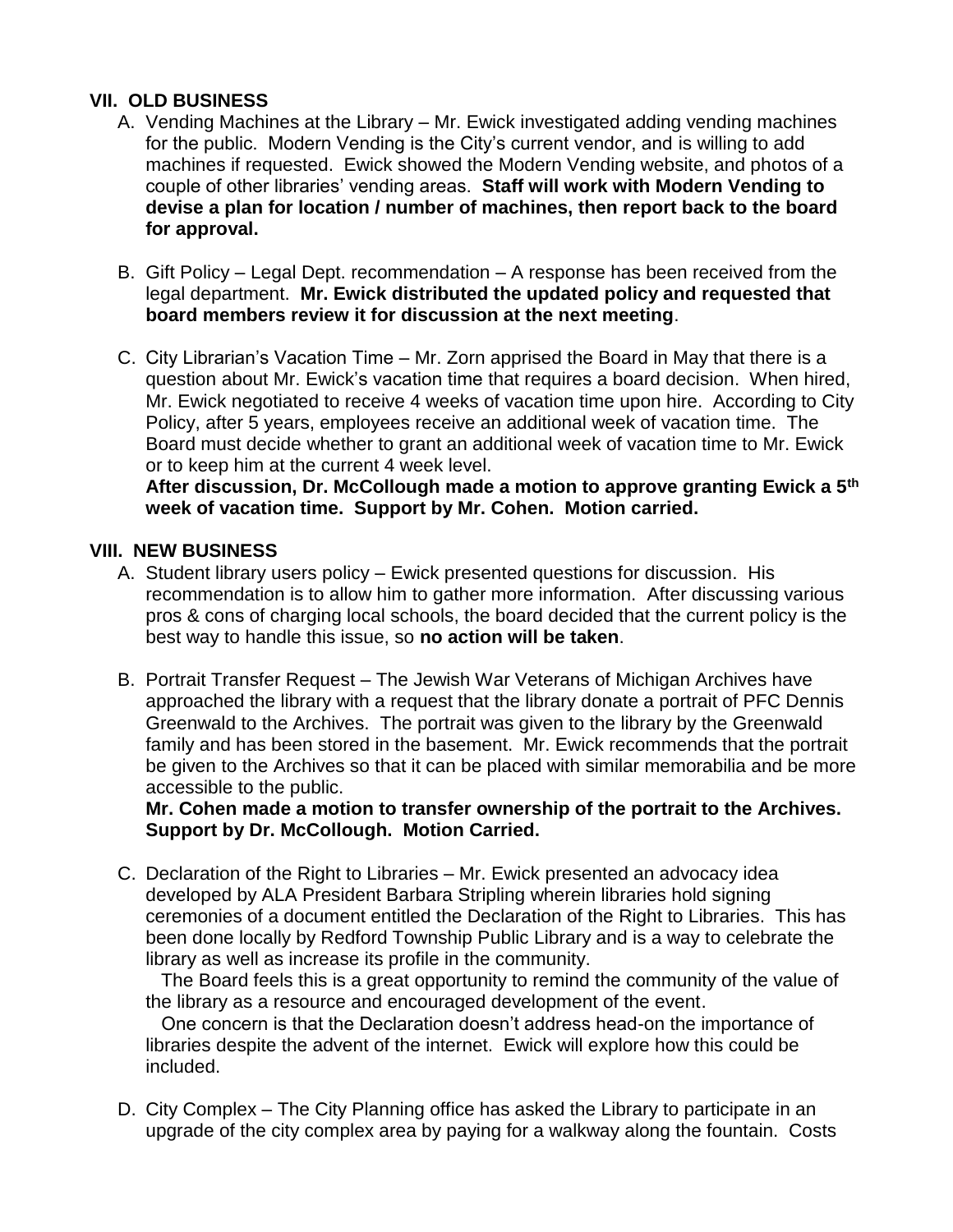### **VII. OLD BUSINESS**

- A. Vending Machines at the Library Mr. Ewick investigated adding vending machines for the public. Modern Vending is the City's current vendor, and is willing to add machines if requested. Ewick showed the Modern Vending website, and photos of a couple of other libraries' vending areas. **Staff will work with Modern Vending to devise a plan for location / number of machines, then report back to the board for approval.**
- B. Gift Policy Legal Dept. recommendation A response has been received from the legal department. **Mr. Ewick distributed the updated policy and requested that board members review it for discussion at the next meeting**.
- C. City Librarian's Vacation Time Mr. Zorn apprised the Board in May that there is a question about Mr. Ewick's vacation time that requires a board decision. When hired, Mr. Ewick negotiated to receive 4 weeks of vacation time upon hire. According to City Policy, after 5 years, employees receive an additional week of vacation time. The Board must decide whether to grant an additional week of vacation time to Mr. Ewick or to keep him at the current 4 week level.

**After discussion, Dr. McCollough made a motion to approve granting Ewick a 5th week of vacation time. Support by Mr. Cohen. Motion carried.** 

## **VIII. NEW BUSINESS**

- A. Student library users policy Ewick presented questions for discussion. His recommendation is to allow him to gather more information. After discussing various pros & cons of charging local schools, the board decided that the current policy is the best way to handle this issue, so **no action will be taken**.
- B. Portrait Transfer Request The Jewish War Veterans of Michigan Archives have approached the library with a request that the library donate a portrait of PFC Dennis Greenwald to the Archives. The portrait was given to the library by the Greenwald family and has been stored in the basement. Mr. Ewick recommends that the portrait be given to the Archives so that it can be placed with similar memorabilia and be more accessible to the public.

**Mr. Cohen made a motion to transfer ownership of the portrait to the Archives. Support by Dr. McCollough. Motion Carried.**

C. Declaration of the Right to Libraries – Mr. Ewick presented an advocacy idea developed by ALA President Barbara Stripling wherein libraries hold signing ceremonies of a document entitled the Declaration of the Right to Libraries. This has been done locally by Redford Township Public Library and is a way to celebrate the library as well as increase its profile in the community.

 The Board feels this is a great opportunity to remind the community of the value of the library as a resource and encouraged development of the event.

 One concern is that the Declaration doesn't address head-on the importance of libraries despite the advent of the internet. Ewick will explore how this could be included.

D. City Complex – The City Planning office has asked the Library to participate in an upgrade of the city complex area by paying for a walkway along the fountain. Costs